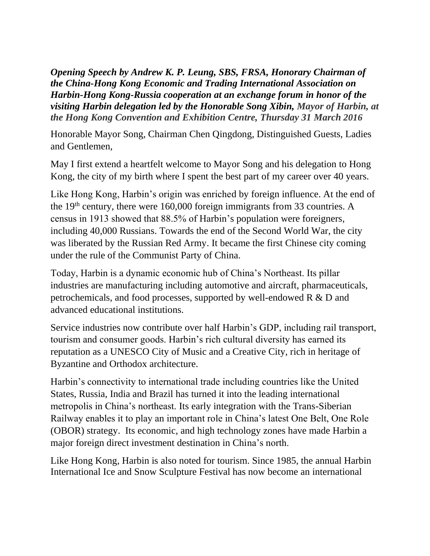*Opening Speech by Andrew K. P. Leung, SBS, FRSA, Honorary Chairman of the China-Hong Kong Economic and Trading International Association on Harbin-Hong Kong-Russia cooperation at an exchange forum in honor of the visiting Harbin delegation led by the Honorable Song Xibin, Mayor of Harbin, at the Hong Kong Convention and Exhibition Centre, Thursday 31 March 2016*

Honorable Mayor Song, Chairman Chen Qingdong, Distinguished Guests, Ladies and Gentlemen,

May I first extend a heartfelt welcome to Mayor Song and his delegation to Hong Kong, the city of my birth where I spent the best part of my career over 40 years.

Like Hong Kong, Harbin's origin was enriched by foreign influence. At the end of the 19th century, there were 160,000 foreign immigrants from 33 countries. A census in 1913 showed that 88.5% of Harbin's population were foreigners, including 40,000 Russians. Towards the end of the Second World War, the city was liberated by the Russian Red Army. It became the first Chinese city coming under the rule of the Communist Party of China.

Today, Harbin is a dynamic economic hub of China's Northeast. Its pillar industries are manufacturing including automotive and aircraft, pharmaceuticals, petrochemicals, and food processes, supported by well-endowed R & D and advanced educational institutions.

Service industries now contribute over half Harbin's GDP, including rail transport, tourism and consumer goods. Harbin's rich cultural diversity has earned its reputation as a UNESCO City of Music and a Creative City, rich in heritage of Byzantine and Orthodox architecture.

Harbin's connectivity to international trade including countries like the United States, Russia, India and Brazil has turned it into the leading international metropolis in China's northeast. Its early integration with the Trans-Siberian Railway enables it to play an important role in China's latest One Belt, One Role (OBOR) strategy. Its economic, and high technology zones have made Harbin a major foreign direct investment destination in China's north.

Like Hong Kong, Harbin is also noted for tourism. Since 1985, the annual Harbin International Ice and Snow Sculpture Festival has now become an international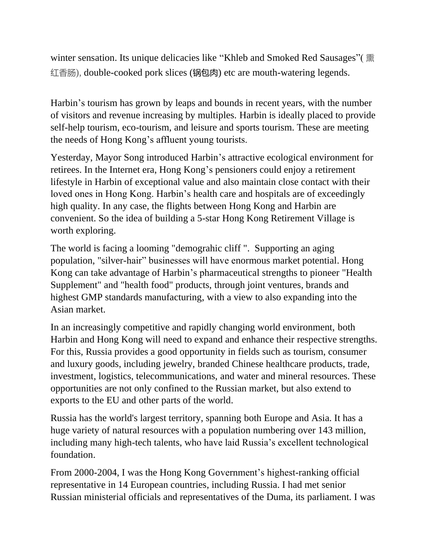winter sensation. Its unique delicacies like "Khleb and Smoked Red Sausages"( 熏 红香肠), double-cooked pork slices (锅包肉) etc are mouth-watering legends.

Harbin's tourism has grown by leaps and bounds in recent years, with the number of visitors and revenue increasing by multiples. Harbin is ideally placed to provide self-help tourism, eco-tourism, and leisure and sports tourism. These are meeting the needs of Hong Kong's affluent young tourists.

Yesterday, Mayor Song introduced Harbin's attractive ecological environment for retirees. In the Internet era, Hong Kong's pensioners could enjoy a retirement lifestyle in Harbin of exceptional value and also maintain close contact with their loved ones in Hong Kong. Harbin's health care and hospitals are of exceedingly high quality. In any case, the flights between Hong Kong and Harbin are convenient. So the idea of building a 5-star Hong Kong Retirement Village is worth exploring.

The world is facing a looming "demograhic cliff ". Supporting an aging population, "silver-hair" businesses will have enormous market potential. Hong Kong can take advantage of Harbin's pharmaceutical strengths to pioneer "Health Supplement" and "health food" products, through joint ventures, brands and highest GMP standards manufacturing, with a view to also expanding into the Asian market.

In an increasingly competitive and rapidly changing world environment, both Harbin and Hong Kong will need to expand and enhance their respective strengths. For this, Russia provides a good opportunity in fields such as tourism, consumer and luxury goods, including jewelry, branded Chinese healthcare products, trade, investment, logistics, telecommunications, and water and mineral resources. These opportunities are not only confined to the Russian market, but also extend to exports to the EU and other parts of the world.

Russia has the world's largest territory, spanning both Europe and Asia. It has a huge variety of natural resources with a population numbering over 143 million, including many high-tech talents, who have laid Russia's excellent technological foundation.

From 2000-2004, I was the Hong Kong Government's highest-ranking official representative in 14 European countries, including Russia. I had met senior Russian ministerial officials and representatives of the Duma, its parliament. I was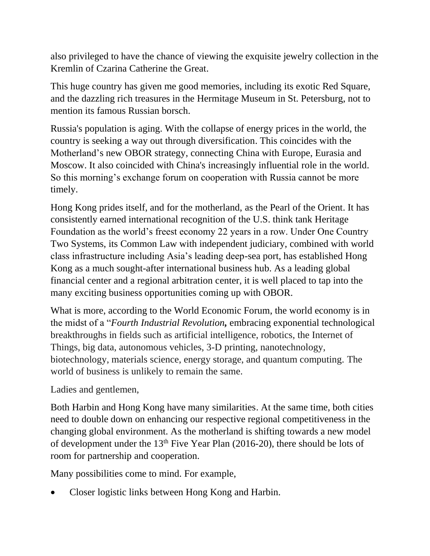also privileged to have the chance of viewing the exquisite jewelry collection in the Kremlin of Czarina Catherine the Great.

This huge country has given me good memories, including its exotic Red Square, and the dazzling rich treasures in the Hermitage Museum in St. Petersburg, not to mention its famous Russian borsch.

Russia's population is aging. With the collapse of energy prices in the world, the country is seeking a way out through diversification. This coincides with the Motherland's new OBOR strategy, connecting China with Europe, Eurasia and Moscow. It also coincided with China's increasingly influential role in the world. So this morning's exchange forum on cooperation with Russia cannot be more timely.

Hong Kong prides itself, and for the motherland, as the Pearl of the Orient. It has consistently earned international recognition of the U.S. think tank Heritage Foundation as the world's freest economy 22 years in a row. Under One Country Two Systems, its Common Law with independent judiciary, combined with world class infrastructure including Asia's leading deep-sea port, has established Hong Kong as a much sought-after international business hub. As a leading global financial center and a regional arbitration center, it is well placed to tap into the many exciting business opportunities coming up with OBOR.

What is more, according to the World Economic Forum, the world economy is in the midst of a "*Fourth Industrial Revolution,* embracing exponential technological breakthroughs in fields such as artificial intelligence, robotics, the Internet of Things, big data, autonomous vehicles, 3-D printing, nanotechnology, biotechnology, materials science, energy storage, and quantum computing. The world of business is unlikely to remain the same.

Ladies and gentlemen,

Both Harbin and Hong Kong have many similarities. At the same time, both cities need to double down on enhancing our respective regional competitiveness in the changing global environment. As the motherland is shifting towards a new model of development under the  $13<sup>th</sup>$  Five Year Plan (2016-20), there should be lots of room for partnership and cooperation.

Many possibilities come to mind. For example,

Closer logistic links between Hong Kong and Harbin.